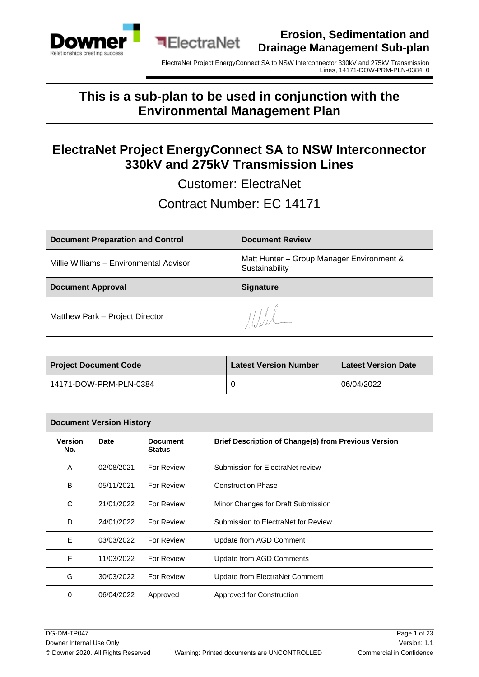



### **This is a sub-plan to be used in conjunction with the Environmental Management Plan**

**■ElectraNet** 

### **ElectraNet Project EnergyConnect SA to NSW Interconnector 330kV and 275kV Transmission Lines**

Customer: ElectraNet

### Contract Number: EC 14171

| <b>Document Preparation and Control</b> | <b>Document Review</b>                                      |
|-----------------------------------------|-------------------------------------------------------------|
| Millie Williams - Environmental Advisor | Matt Hunter - Group Manager Environment &<br>Sustainability |
| <b>Document Approval</b>                | <b>Signature</b>                                            |
| Matthew Park - Project Director         | $1$ /////                                                   |

| <b>Project Document Code</b> | <b>Latest Version Number</b> | <b>Latest Version Date</b> |
|------------------------------|------------------------------|----------------------------|
| 14171-DOW-PRM-PLN-0384       |                              | 06/04/2022                 |

| <b>Document Version History</b> |            |                                  |                                                             |
|---------------------------------|------------|----------------------------------|-------------------------------------------------------------|
| <b>Version</b><br>No.           | Date       | <b>Document</b><br><b>Status</b> | <b>Brief Description of Change(s) from Previous Version</b> |
| A                               | 02/08/2021 | For Review                       | Submission for ElectraNet review                            |
| B                               | 05/11/2021 | For Review                       | <b>Construction Phase</b>                                   |
| C                               | 21/01/2022 | <b>For Review</b>                | Minor Changes for Draft Submission                          |
| D                               | 24/01/2022 | For Review                       | Submission to ElectraNet for Review                         |
| E                               | 03/03/2022 | For Review                       | Update from AGD Comment                                     |
| F                               | 11/03/2022 | For Review                       | Update from AGD Comments                                    |
| G                               | 30/03/2022 | For Review                       | Update from ElectraNet Comment                              |
| 0                               | 06/04/2022 | Approved                         | Approved for Construction                                   |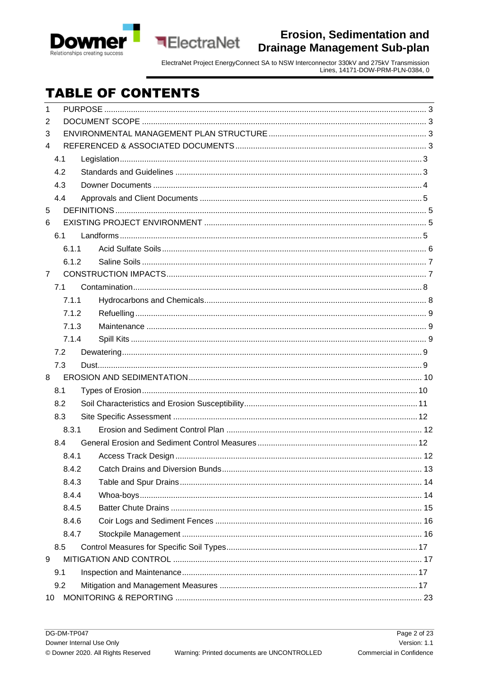



ElectraNet Project EnergyConnect SA to NSW Interconnector 330kV and 275kV Transmission<br>Lines, 14171-DOW-PRM-PLN-0384, 0

# **TABLE OF CONTENTS**

| 1              |       |  |  |
|----------------|-------|--|--|
| 2              |       |  |  |
| 3              |       |  |  |
| 4              |       |  |  |
|                | 4.1   |  |  |
|                | 4.2   |  |  |
|                | 4.3   |  |  |
|                | 4.4   |  |  |
| 5              |       |  |  |
| 6              |       |  |  |
|                | 6.1   |  |  |
|                | 6.1.1 |  |  |
|                | 6.1.2 |  |  |
| $\overline{7}$ |       |  |  |
|                | 7.1   |  |  |
|                | 7.1.1 |  |  |
|                | 7.1.2 |  |  |
|                | 7.1.3 |  |  |
|                | 7.1.4 |  |  |
|                | 7.2   |  |  |
|                | 7.3   |  |  |
| 8              |       |  |  |
|                | 8.1   |  |  |
|                | 8.2   |  |  |
|                | 8.3   |  |  |
|                | 8.3.1 |  |  |
|                | 8.4   |  |  |
|                | 8.4.1 |  |  |
|                | 8.4.2 |  |  |
|                | 8.4.3 |  |  |
|                | 8.4.4 |  |  |
|                | 8.4.5 |  |  |
|                | 8.4.6 |  |  |
|                | 8.4.7 |  |  |
|                | 8.5   |  |  |
| 9              |       |  |  |
|                | 9.1   |  |  |
|                | 9.2   |  |  |
| 10             |       |  |  |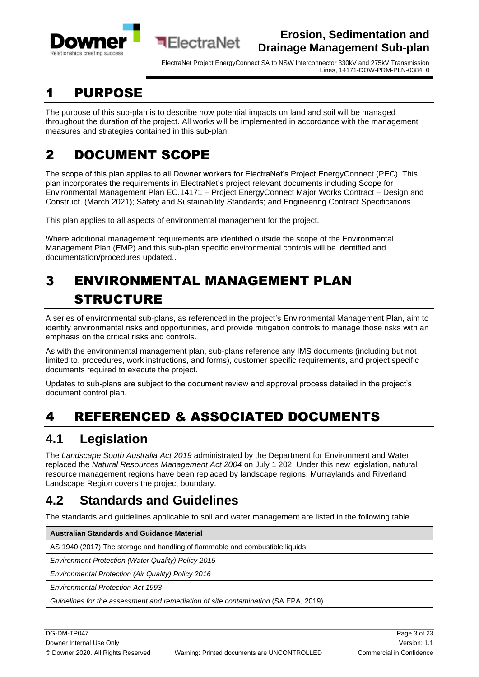



ElectraNet Project EnergyConnect SA to NSW Interconnector 330kV and 275kV Transmission Lines, 14171-DOW-PRM-PLN-0384, 0

# <span id="page-2-0"></span>1 PURPOSE

The purpose of this sub-plan is to describe how potential impacts on land and soil will be managed throughout the duration of the project. All works will be implemented in accordance with the management measures and strategies contained in this sub-plan.

# <span id="page-2-1"></span>2 DOCUMENT SCOPE

The scope of this plan applies to all Downer workers for ElectraNet's Project EnergyConnect (PEC). This plan incorporates the requirements in ElectraNet's project relevant documents including Scope for Environmental Management Plan EC.14171 – Project EnergyConnect Major Works Contract – Design and Construct (March 2021); Safety and Sustainability Standards; and Engineering Contract Specifications .

This plan applies to all aspects of environmental management for the project.

Where additional management requirements are identified outside the scope of the Environmental Management Plan (EMP) and this sub-plan specific environmental controls will be identified and documentation/procedures updated..

# <span id="page-2-2"></span>3 ENVIRONMENTAL MANAGEMENT PLAN STRUCTURE

A series of environmental sub-plans, as referenced in the project's Environmental Management Plan, aim to identify environmental risks and opportunities, and provide mitigation controls to manage those risks with an emphasis on the critical risks and controls.

As with the environmental management plan, sub-plans reference any IMS documents (including but not limited to, procedures, work instructions, and forms), customer specific requirements, and project specific documents required to execute the project.

Updates to sub-plans are subject to the document review and approval process detailed in the project's document control plan.

# <span id="page-2-3"></span>4 REFERENCED & ASSOCIATED DOCUMENTS

## <span id="page-2-4"></span>**4.1 Legislation**

The *Landscape South Australia Act 2019* administrated by the Department for Environment and Water replaced the *Natural Resources Management Act 2004* on July 1 202. Under this new legislation, natural resource management regions have been replaced by landscape regions. Murraylands and Riverland Landscape Region covers the project boundary.

# <span id="page-2-5"></span>**4.2 Standards and Guidelines**

The standards and guidelines applicable to soil and water management are listed in the following table.

| <b>Australian Standards and Guidance Material</b>                                  |
|------------------------------------------------------------------------------------|
| AS 1940 (2017) The storage and handling of flammable and combustible liquids       |
| <b>Environment Protection (Water Quality) Policy 2015</b>                          |
| <b>Environmental Protection (Air Quality) Policy 2016</b>                          |
| <b>Environmental Protection Act 1993</b>                                           |
| Guidelines for the assessment and remediation of site contamination (SA EPA, 2019) |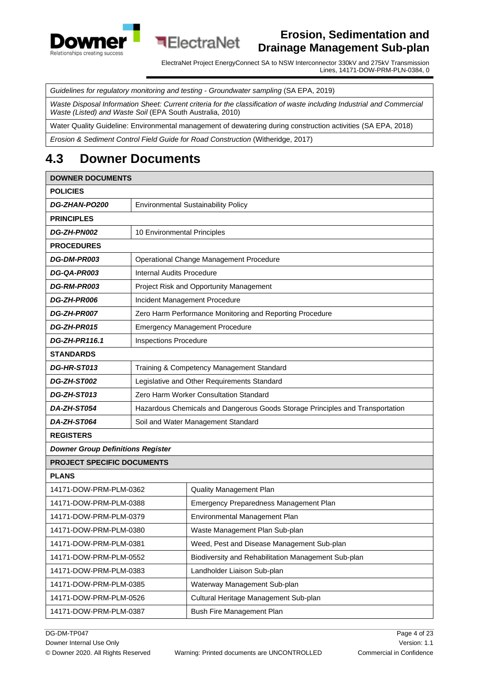



*Guidelines for regulatory monitoring and testing - Groundwater sampling* (SA EPA, 2019)

**ElectraNet** 

*Waste Disposal Information Sheet: Current criteria for the classification of waste including Industrial and Commercial Waste (Listed) and Waste Soil* (EPA South Australia, 2010)

Water Quality Guideline: Environmental management of dewatering during construction activities (SA EPA, 2018)

*Erosion & Sediment Control Field Guide for Road Construction* (Witheridge, 2017)

## <span id="page-3-0"></span>**4.3 Downer Documents**

| <b>DOWNER DOCUMENTS</b>                                         |                                                                               |                                                          |  |
|-----------------------------------------------------------------|-------------------------------------------------------------------------------|----------------------------------------------------------|--|
| <b>POLICIES</b>                                                 |                                                                               |                                                          |  |
| DG-ZHAN-PO200                                                   | <b>Environmental Sustainability Policy</b>                                    |                                                          |  |
| <b>PRINCIPLES</b>                                               |                                                                               |                                                          |  |
| DG-ZH-PN002                                                     | 10 Environmental Principles                                                   |                                                          |  |
| <b>PROCEDURES</b>                                               |                                                                               |                                                          |  |
| DG-DM-PR003                                                     |                                                                               | Operational Change Management Procedure                  |  |
| DG-QA-PR003                                                     | <b>Internal Audits Procedure</b>                                              |                                                          |  |
| DG-RM-PR003                                                     |                                                                               | Project Risk and Opportunity Management                  |  |
| DG-ZH-PR006                                                     |                                                                               | Incident Management Procedure                            |  |
| DG-ZH-PR007                                                     |                                                                               | Zero Harm Performance Monitoring and Reporting Procedure |  |
| DG-ZH-PR015                                                     |                                                                               | <b>Emergency Management Procedure</b>                    |  |
| <b>DG-ZH-PR116.1</b>                                            | <b>Inspections Procedure</b>                                                  |                                                          |  |
| <b>STANDARDS</b>                                                |                                                                               |                                                          |  |
| DG-HR-ST013                                                     |                                                                               | Training & Competency Management Standard                |  |
| DG-ZH-ST002                                                     | Legislative and Other Requirements Standard                                   |                                                          |  |
| DG-ZH-ST013                                                     | Zero Harm Worker Consultation Standard                                        |                                                          |  |
| <b>DA-ZH-ST054</b>                                              | Hazardous Chemicals and Dangerous Goods Storage Principles and Transportation |                                                          |  |
| DA-ZH-ST064                                                     | Soil and Water Management Standard                                            |                                                          |  |
| <b>REGISTERS</b>                                                |                                                                               |                                                          |  |
| <b>Downer Group Definitions Register</b>                        |                                                                               |                                                          |  |
| <b>PROJECT SPECIFIC DOCUMENTS</b>                               |                                                                               |                                                          |  |
| <b>PLANS</b>                                                    |                                                                               |                                                          |  |
| 14171-DOW-PRM-PLM-0362                                          |                                                                               | Quality Management Plan                                  |  |
| 14171-DOW-PRM-PLM-0388                                          |                                                                               | Emergency Preparedness Management Plan                   |  |
| 14171-DOW-PRM-PLM-0379                                          |                                                                               | Environmental Management Plan                            |  |
| 14171-DOW-PRM-PLM-0380                                          |                                                                               | Waste Management Plan Sub-plan                           |  |
| 14171-DOW-PRM-PLM-0381                                          |                                                                               | Weed, Pest and Disease Management Sub-plan               |  |
| 14171-DOW-PRM-PLM-0552                                          |                                                                               | Biodiversity and Rehabilitation Management Sub-plan      |  |
| 14171-DOW-PRM-PLM-0383<br>Landholder Liaison Sub-plan           |                                                                               |                                                          |  |
| 14171-DOW-PRM-PLM-0385<br>Waterway Management Sub-plan          |                                                                               |                                                          |  |
| Cultural Heritage Management Sub-plan<br>14171-DOW-PRM-PLM-0526 |                                                                               |                                                          |  |
| Bush Fire Management Plan<br>14171-DOW-PRM-PLM-0387             |                                                                               |                                                          |  |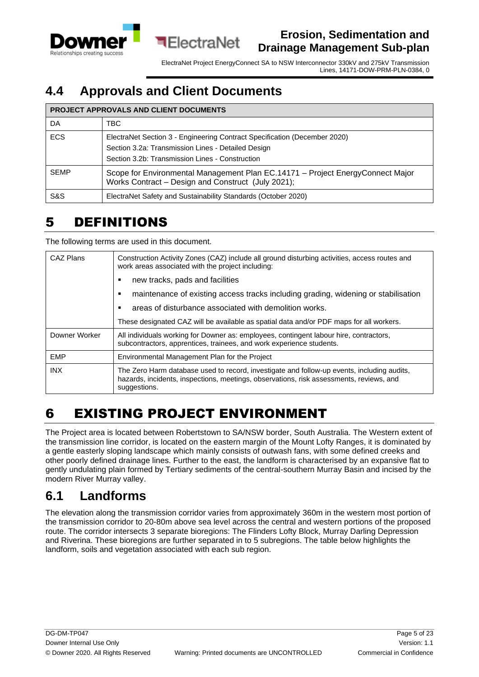



ElectraNet Project EnergyConnect SA to NSW Interconnector 330kV and 275kV Transmission Lines, 14171-DOW-PRM-PLN-0384, 0

### <span id="page-4-0"></span>**4.4 Approvals and Client Documents**

#### **PROJECT APPROVALS AND CLIENT DOCUMENTS**

| DA          | TBC.                                                                                                                                                                               |
|-------------|------------------------------------------------------------------------------------------------------------------------------------------------------------------------------------|
| <b>ECS</b>  | ElectraNet Section 3 - Engineering Contract Specification (December 2020)<br>Section 3.2a: Transmission Lines - Detailed Design<br>Section 3.2b: Transmission Lines - Construction |
| <b>SEMP</b> |                                                                                                                                                                                    |
|             | Scope for Environmental Management Plan EC.14171 - Project EnergyConnect Major<br>Works Contract – Design and Construct (July 2021);                                               |
| S&S         | ElectraNet Safety and Sustainability Standards (October 2020)                                                                                                                      |

### <span id="page-4-1"></span>5 DEFINITIONS

The following terms are used in this document.

| CAZ Plans     | Construction Activity Zones (CAZ) include all ground disturbing activities, access routes and<br>work areas associated with the project including:                                                    |  |
|---------------|-------------------------------------------------------------------------------------------------------------------------------------------------------------------------------------------------------|--|
|               | new tracks, pads and facilities                                                                                                                                                                       |  |
|               | maintenance of existing access tracks including grading, widening or stabilisation                                                                                                                    |  |
|               | areas of disturbance associated with demolition works.                                                                                                                                                |  |
|               | These designated CAZ will be available as spatial data and/or PDF maps for all workers.                                                                                                               |  |
| Downer Worker | All individuals working for Downer as: employees, contingent labour hire, contractors,<br>subcontractors, apprentices, trainees, and work experience students.                                        |  |
| <b>EMP</b>    | Environmental Management Plan for the Project                                                                                                                                                         |  |
| <b>INX</b>    | The Zero Harm database used to record, investigate and follow-up events, including audits,<br>hazards, incidents, inspections, meetings, observations, risk assessments, reviews, and<br>suggestions. |  |

# <span id="page-4-2"></span>6 EXISTING PROJECT ENVIRONMENT

The Project area is located between Robertstown to SA/NSW border, South Australia. The Western extent of the transmission line corridor, is located on the eastern margin of the Mount Lofty Ranges, it is dominated by a gentle easterly sloping landscape which mainly consists of outwash fans, with some defined creeks and other poorly defined drainage lines. Further to the east, the landform is characterised by an expansive flat to gently undulating plain formed by Tertiary sediments of the central-southern Murray Basin and incised by the modern River Murray valley.

### <span id="page-4-3"></span>**6.1 Landforms**

The elevation along the transmission corridor varies from approximately 360m in the western most portion of the transmission corridor to 20-80m above sea level across the central and western portions of the proposed route. The corridor intersects 3 separate bioregions: The Flinders Lofty Block, Murray Darling Depression and Riverina. These bioregions are further separated in to 5 subregions. The table below highlights the landform, soils and vegetation associated with each sub region.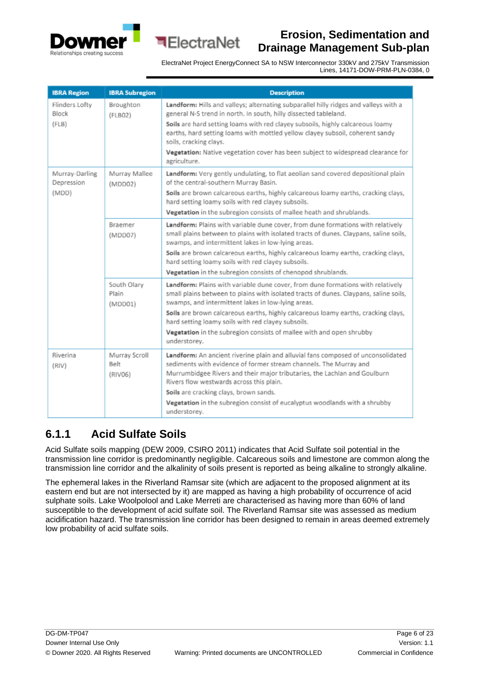



ElectraNet Project EnergyConnect SA to NSW Interconnector 330kV and 275kV Transmission Lines, 14171-DOW-PRM-PLN-0384, 0

| <b>IBRA Region</b>                    | <b>IBRA Subregion</b>            | <b>Description</b>                                                                                                                                                                                                                                                                                                                                                                                                                                                 |
|---------------------------------------|----------------------------------|--------------------------------------------------------------------------------------------------------------------------------------------------------------------------------------------------------------------------------------------------------------------------------------------------------------------------------------------------------------------------------------------------------------------------------------------------------------------|
| Flinders Lofty<br>Block<br>(FLB)      | Broughton<br>(FLBO2)             | Landform: Hills and valleys; alternating subparallel hilly ridges and valleys with a<br>general N-S trend in north. In south, hilly dissected tableland.<br>Soils are hard setting loams with red clayey subsoils, highly calcareous loamy<br>earths, hard setting loams with mottled yellow clayey subsoil, coherent sandy<br>soils, cracking clays.<br>Vegetation: Native vegetation cover has been subject to widespread clearance for<br>agriculture.          |
| Murray-Darling<br>Depression<br>(MDD) | Murray Mallee<br>(MDD02)         | Landform: Very gently undulating, to flat aeolian sand covered depositional plain<br>of the central-southern Murray Basin.<br>Soils are brown calcareous earths, highly calcareous loamy earths, cracking clays,<br>hard setting loamy soils with red clayey subsoils.<br>Vegetation in the subregion consists of mallee heath and shrublands.                                                                                                                     |
|                                       | Braemer<br>(MDD07)               | Landform: Plains with variable dune cover, from dune formations with relatively<br>small plains between to plains with isolated tracts of dunes. Claypans, saline soils,<br>swamps, and intermittent lakes in low-lying areas.<br>Soils are brown calcareous earths, highly calcareous loamy earths, cracking clays,<br>hard setting loamy soils with red clayey subsoils.<br>Vegetation in the subregion consists of chenopod shrublands.                         |
|                                       | South Olary<br>Plain<br>(MDD01)  | Landform: Plains with variable dune cover, from dune formations with relatively<br>small plains between to plains with isolated tracts of dunes. Claypans, saline soils,<br>swamps, and intermittent lakes in low-lying areas.<br>Soils are brown calcareous earths, highly calcareous loamy earths, cracking clays,<br>hard setting loamy soils with red clayey subsoils.<br>Vegetation in the subregion consists of mallee with and open shrubby<br>understorey. |
| Riverina<br>(RIV)                     | Murray Scroll<br>Belt<br>(RIV06) | Landform: An ancient riverine plain and alluvial fans composed of unconsolidated<br>sediments with evidence of former stream channels. The Murray and<br>Murrumbidgee Rivers and their major tributaries, the Lachlan and Goulburn<br>Rivers flow westwards across this plain.<br>Soils are cracking clays, brown sands.<br>Vegetation in the subregion consist of eucalyptus woodlands with a shrubby<br>understorey.                                             |

#### <span id="page-5-0"></span>**6.1.1 Acid Sulfate Soils**

Acid Sulfate soils mapping (DEW 2009, CSIRO 2011) indicates that Acid Sulfate soil potential in the transmission line corridor is predominantly negligible. Calcareous soils and limestone are common along the transmission line corridor and the alkalinity of soils present is reported as being alkaline to strongly alkaline.

The ephemeral lakes in the Riverland Ramsar site (which are adjacent to the proposed alignment at its eastern end but are not intersected by it) are mapped as having a high probability of occurrence of acid sulphate soils. Lake Woolpolool and Lake Merreti are characterised as having more than 60% of land susceptible to the development of acid sulfate soil. The Riverland Ramsar site was assessed as medium acidification hazard. The transmission line corridor has been designed to remain in areas deemed extremely low probability of acid sulfate soils.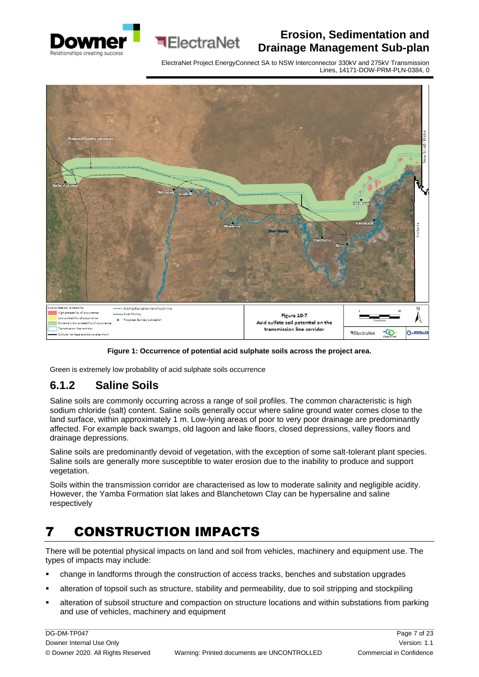





**ElectraNet** 

**Figure 1: Occurrence of potential acid sulphate soils across the project area.**

Green is extremely low probability of acid sulphate soils occurrence

#### <span id="page-6-0"></span>**6.1.2 Saline Soils**

Saline soils are commonly occurring across a range of soil profiles. The common characteristic is high sodium chloride (salt) content. Saline soils generally occur where saline ground water comes close to the land surface, within approximately 1 m. Low-lying areas of poor to very poor drainage are predominantly affected. For example back swamps, old lagoon and lake floors, closed depressions, valley floors and drainage depressions.

Saline soils are predominantly devoid of vegetation, with the exception of some salt-tolerant plant species. Saline soils are generally more susceptible to water erosion due to the inability to produce and support vegetation.

Soils within the transmission corridor are characterised as low to moderate salinity and negligible acidity. However, the Yamba Formation slat lakes and Blanchetown Clay can be hypersaline and saline respectively

# <span id="page-6-1"></span>7 CONSTRUCTION IMPACTS

There will be potential physical impacts on land and soil from vehicles, machinery and equipment use. The types of impacts may include:

- change in landforms through the construction of access tracks, benches and substation upgrades
- alteration of topsoil such as structure, stability and permeability, due to soil stripping and stockpiling
- **EXECT** alteration of subsoil structure and compaction on structure locations and within substations from parking and use of vehicles, machinery and equipment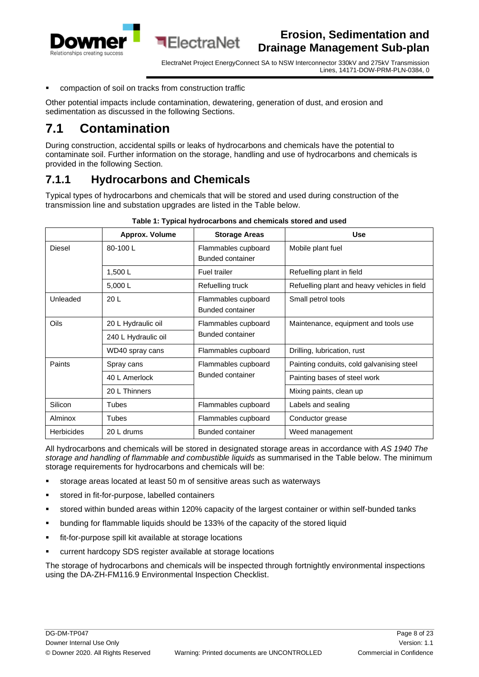<span id="page-7-2"></span>

ElectraNet Project EnergyConnect SA to NSW Interconnector 330kV and 275kV Transmission Lines, 14171-DOW-PRM-PLN-0384, 0

compaction of soil on tracks from construction traffic

Other potential impacts include contamination, dewatering, generation of dust, and erosion and sedimentation as discussed in the following Sections.

**ElectraNet** 

### <span id="page-7-0"></span>**7.1 Contamination**

During construction, accidental spills or leaks of hydrocarbons and chemicals have the potential to contaminate soil. Further information on the storage, handling and use of hydrocarbons and chemicals is provided in the following Section.

#### <span id="page-7-1"></span>**7.1.1 Hydrocarbons and Chemicals**

Typical types of hydrocarbons and chemicals that will be stored and used during construction of the transmission line and substation upgrades are listed in the Table below.

|                   | Approx. Volume      | <b>Storage Areas</b>                           | <b>Use</b>                                   |
|-------------------|---------------------|------------------------------------------------|----------------------------------------------|
| <b>Diesel</b>     | 80-100L             | Flammables cupboard<br><b>Bunded container</b> | Mobile plant fuel                            |
|                   | 1,500L              | Fuel trailer                                   | Refuelling plant in field                    |
|                   | 5,000L              | Refuelling truck                               | Refuelling plant and heavy vehicles in field |
| Unleaded          | 20 <sub>L</sub>     | Flammables cupboard<br>Bunded container        | Small petrol tools                           |
| Oils              | 20 L Hydraulic oil  | Flammables cupboard<br>Bunded container        | Maintenance, equipment and tools use         |
|                   | 240 L Hydraulic oil |                                                |                                              |
|                   | WD40 spray cans     | Flammables cupboard                            | Drilling, lubrication, rust                  |
| Paints            | Spray cans          | Flammables cupboard<br>Bunded container        | Painting conduits, cold galvanising steel    |
|                   | 40 L Amerlock       |                                                | Painting bases of steel work                 |
|                   | 20 L Thinners       |                                                | Mixing paints, clean up                      |
| Silicon           | Tubes               | Flammables cupboard                            | Labels and sealing                           |
| Alminox           | Tubes               | Flammables cupboard                            | Conductor grease                             |
| <b>Herbicides</b> | 20 L drums          | <b>Bunded container</b>                        | Weed management                              |

#### **Table 1: Typical hydrocarbons and chemicals stored and used**

All hydrocarbons and chemicals will be stored in designated storage areas in accordance with *AS 1940 The storage and handling of flammable and combustible liquids* as summarised in the Table below. The minimum storage requirements for hydrocarbons and chemicals will be:

- storage areas located at least 50 m of sensitive areas such as waterways
- stored in fit-for-purpose, labelled containers
- stored within bunded areas within 120% capacity of the largest container or within self-bunded tanks
- bunding for flammable liquids should be 133% of the capacity of the stored liquid
- fit-for-purpose spill kit available at storage locations
- current hardcopy SDS register available at storage locations

The storage of hydrocarbons and chemicals will be inspected through fortnightly environmental inspections using the DA-ZH-FM116.9 Environmental Inspection Checklist.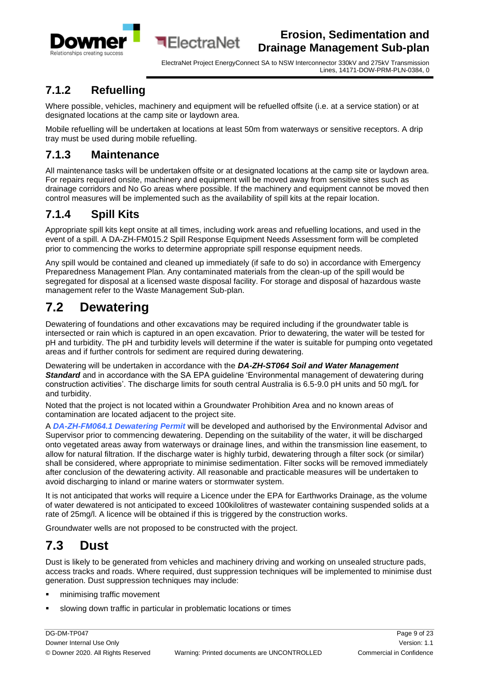

ElectraNet Project EnergyConnect SA to NSW Interconnector 330kV and 275kV Transmission Lines, 14171-DOW-PRM-PLN-0384, 0

### <span id="page-8-0"></span>**7.1.2 Refuelling**

Where possible, vehicles, machinery and equipment will be refuelled offsite (i.e. at a service station) or at designated locations at the camp site or laydown area.

**ElectraNet** 

Mobile refuelling will be undertaken at locations at least 50m from waterways or sensitive receptors. A drip tray must be used during mobile refuelling.

#### <span id="page-8-1"></span>**7.1.3 Maintenance**

All maintenance tasks will be undertaken offsite or at designated locations at the camp site or laydown area. For repairs required onsite, machinery and equipment will be moved away from sensitive sites such as drainage corridors and No Go areas where possible. If the machinery and equipment cannot be moved then control measures will be implemented such as the availability of spill kits at the repair location.

### <span id="page-8-2"></span>**7.1.4 Spill Kits**

Appropriate spill kits kept onsite at all times, including work areas and refuelling locations, and used in the event of a spill. [A](https://idowner.downergroup.com/sites/ims/Documents/DA-ZH-FM015.2%20Spill%20Response%20Equipment%20Needs%20Assessment%20Form.docx) DA-ZH-FM015.2 Spill Response Equipment Needs Assessment form will be completed prior to commencing the works to determine appropriate spill response equipment needs.

Any spill would be contained and cleaned up immediately (if safe to do so) in accordance with Emergency Preparedness Management Plan. Any contaminated materials from the clean-up of the spill would be segregated for disposal at a licensed waste disposal facility. For storage and disposal of hazardous waste management refer to the Waste Management Sub-plan.

# <span id="page-8-3"></span>**7.2 Dewatering**

Dewatering of foundations and other excavations may be required including if the groundwater table is intersected or rain which is captured in an open excavation. Prior to dewatering, the water will be tested for pH and turbidity. The pH and turbidity levels will determine if the water is suitable for pumping onto vegetated areas and if further controls for sediment are required during dewatering.

Dewatering will be undertaken in accordance with the *DA-ZH-ST064 Soil and Water Management Standard* and in accordance with the SA EPA guideline 'Environmental management of dewatering during construction activities'. The discharge limits for south central Australia is 6.5-9.0 pH units and 50 mg/L for and turbidity.

Noted that the project is not located within a Groundwater Prohibition Area and no known areas of contamination are located adjacent to the project site.

A *[DA-ZH-FM064.1 Dewatering Permit](https://idowner.downergroup.com/sites/ims/Documents/DA-ZH-FM064.1%20Dewatering%20Permit.docx)* will be developed and authorised by the Environmental Advisor and Supervisor prior to commencing dewatering. Depending on the suitability of the water, it will be discharged onto vegetated areas away from waterways or drainage lines, and within the transmission line easement, to allow for natural filtration. If the discharge water is highly turbid, dewatering through a filter sock (or similar) shall be considered, where appropriate to minimise sedimentation. Filter socks will be removed immediately after conclusion of the dewatering activity. All reasonable and practicable measures will be undertaken to avoid discharging to inland or marine waters or stormwater system.

It is not anticipated that works will require a Licence under the EPA for Earthworks Drainage, as the volume of water dewatered is not anticipated to exceed 100kilolitres of wastewater containing suspended solids at a rate of 25mg/l. A licence will be obtained if this is triggered by the construction works.

Groundwater wells are not proposed to be constructed with the project.

## <span id="page-8-4"></span>**7.3 Dust**

Dust is likely to be generated from vehicles and machinery driving and working on unsealed structure pads, access tracks and roads. Where required, dust suppression techniques will be implemented to minimise dust generation. Dust suppression techniques may include:

- minimising traffic movement
- slowing down traffic in particular in problematic locations or times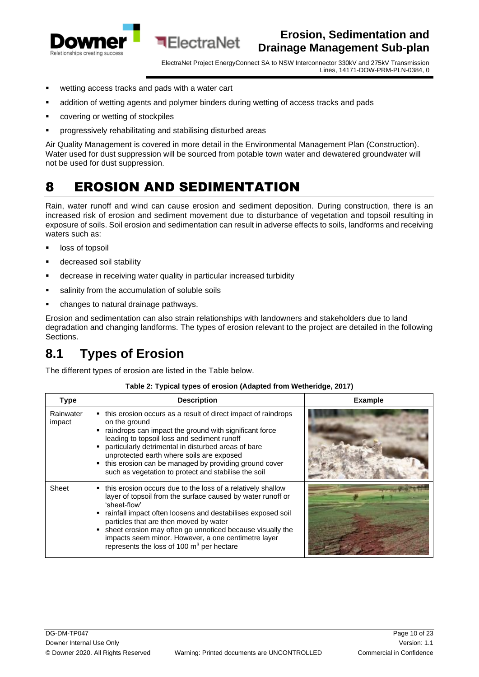

ElectraNet Project EnergyConnect SA to NSW Interconnector 330kV and 275kV Transmission Lines, 14171-DOW-PRM-PLN-0384, 0

- wetting access tracks and pads with a water cart
- addition of wetting agents and polymer binders during wetting of access tracks and pads

**ElectraNet** 

- covering or wetting of stockpiles
- progressively rehabilitating and stabilising disturbed areas

Air Quality Management is covered in more detail in the Environmental Management Plan (Construction). Water used for dust suppression will be sourced from potable town water and dewatered groundwater will not be used for dust suppression.

# <span id="page-9-0"></span>8 EROSION AND SEDIMENTATION

Rain, water runoff and wind can cause erosion and sediment deposition. During construction, there is an increased risk of erosion and sediment movement due to disturbance of vegetation and topsoil resulting in exposure of soils. Soil erosion and sedimentation can result in adverse effects to soils, landforms and receiving waters such as:

- loss of topsoil
- decreased soil stability
- **E** decrease in receiving water quality in particular increased turbidity
- salinity from the accumulation of soluble soils
- changes to natural drainage pathways.

Erosion and sedimentation can also strain relationships with landowners and stakeholders due to land degradation and changing landforms. The types of erosion relevant to the project are detailed in the following Sections.

### <span id="page-9-1"></span>**8.1 Types of Erosion**

The different types of erosion are listed in the Table below.

| <b>Type</b>         | <b>Description</b>                                                                                                                                                                                                                                                                                                                                                                                                                    | <b>Example</b> |  |  |
|---------------------|---------------------------------------------------------------------------------------------------------------------------------------------------------------------------------------------------------------------------------------------------------------------------------------------------------------------------------------------------------------------------------------------------------------------------------------|----------------|--|--|
| Rainwater<br>impact | this erosion occurs as a result of direct impact of raindrops<br>on the ground<br>raindrops can impact the ground with significant force<br>leading to topsoil loss and sediment runoff<br>particularly detrimental in disturbed areas of bare<br>unprotected earth where soils are exposed<br>this erosion can be managed by providing ground cover<br>such as vegetation to protect and stabilise the soil                          |                |  |  |
| Sheet               | this erosion occurs due to the loss of a relatively shallow<br>layer of topsoil from the surface caused by water runoff or<br>'sheet-flow'<br>rainfall impact often loosens and destabilises exposed soil<br>particles that are then moved by water<br>sheet erosion may often go unnoticed because visually the<br>٠<br>impacts seem minor. However, a one centimetre layer<br>represents the loss of 100 $\mathrm{m}^3$ per hectare |                |  |  |

#### **Table 2: Typical types of erosion (Adapted from Wetheridge, 2017)**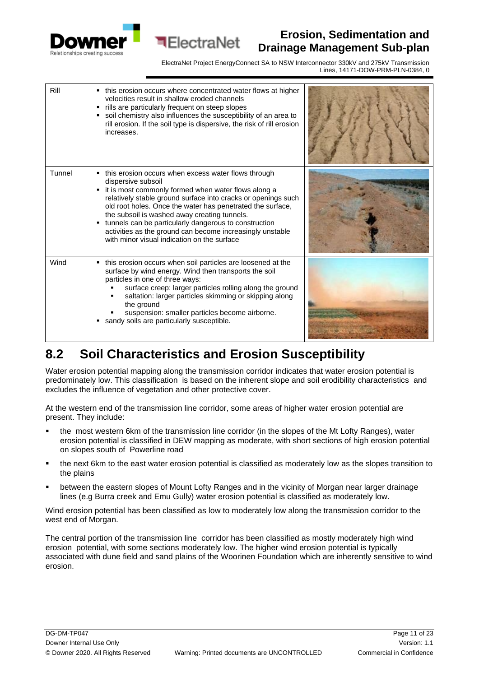



ElectraNet Project EnergyConnect SA to NSW Interconnector 330kV and 275kV Transmission Lines, 14171-DOW-PRM-PLN-0384, 0

| Rill   | • this erosion occurs where concentrated water flows at higher<br>velocities result in shallow eroded channels<br>• rills are particularly frequent on steep slopes<br>soil chemistry also influences the susceptibility of an area to<br>٠<br>rill erosion. If the soil type is dispersive, the risk of rill erosion<br>increases.                                                                                                                                                         |  |
|--------|---------------------------------------------------------------------------------------------------------------------------------------------------------------------------------------------------------------------------------------------------------------------------------------------------------------------------------------------------------------------------------------------------------------------------------------------------------------------------------------------|--|
| Tunnel | this erosion occurs when excess water flows through<br>dispersive subsoil<br>it is most commonly formed when water flows along a<br>٠<br>relatively stable ground surface into cracks or openings such<br>old root holes. Once the water has penetrated the surface,<br>the subsoil is washed away creating tunnels.<br>• tunnels can be particularly dangerous to construction<br>activities as the ground can become increasingly unstable<br>with minor visual indication on the surface |  |
| Wind   | • this erosion occurs when soil particles are loosened at the<br>surface by wind energy. Wind then transports the soil<br>particles in one of three ways:<br>surface creep: larger particles rolling along the ground<br>saltation: larger particles skimming or skipping along<br>the ground<br>suspension: smaller particles become airborne.<br>sandy soils are particularly susceptible.<br>٠                                                                                           |  |

## <span id="page-10-0"></span>**8.2 Soil Characteristics and Erosion Susceptibility**

Water erosion potential mapping along the transmission corridor indicates that water erosion potential is predominately low. This classification is based on the inherent slope and soil erodibility characteristics and excludes the influence of vegetation and other protective cover.

At the western end of the transmission line corridor, some areas of higher water erosion potential are present. They include:

- the most western 6km of the transmission line corridor (in the slopes of the Mt Lofty Ranges), water erosion potential is classified in DEW mapping as moderate, with short sections of high erosion potential on slopes south of Powerline road
- the next 6km to the east water erosion potential is classified as moderately low as the slopes transition to the plains
- between the eastern slopes of Mount Lofty Ranges and in the vicinity of Morgan near larger drainage lines (e.g Burra creek and Emu Gully) water erosion potential is classified as moderately low.

Wind erosion potential has been classified as low to moderately low along the transmission corridor to the west end of Morgan.

The central portion of the transmission line corridor has been classified as mostly moderately high wind erosion potential, with some sections moderately low. The higher wind erosion potential is typically associated with dune field and sand plains of the Woorinen Foundation which are inherently sensitive to wind erosion.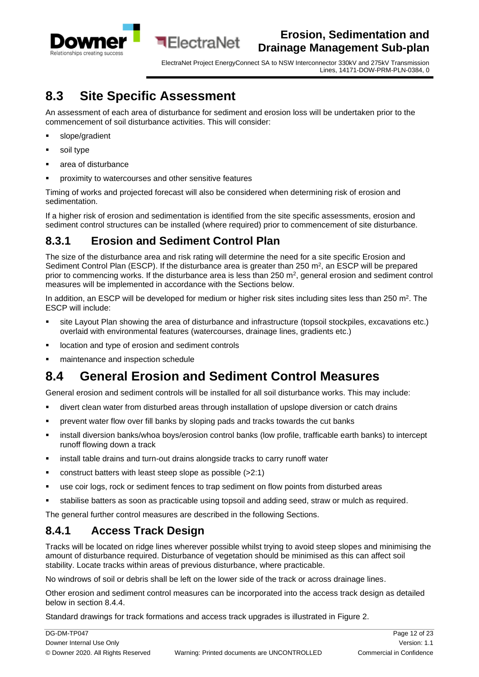

ElectraNet Project EnergyConnect SA to NSW Interconnector 330kV and 275kV Transmission Lines, 14171-DOW-PRM-PLN-0384, 0

### <span id="page-11-0"></span>**8.3 Site Specific Assessment**

An assessment of each area of disturbance for sediment and erosion loss will be undertaken prior to the commencement of soil disturbance activities. This will consider:

**ElectraNet** 

- slope/gradient
- soil type
- area of disturbance
- proximity to watercourses and other sensitive features

Timing of works and projected forecast will also be considered when determining risk of erosion and sedimentation.

If a higher risk of erosion and sedimentation is identified from the site specific assessments, erosion and sediment control structures can be installed (where required) prior to commencement of site disturbance.

#### <span id="page-11-1"></span>**8.3.1 Erosion and Sediment Control Plan**

The size of the disturbance area and risk rating will determine the need for a site specific Erosion and Sediment Control Plan (ESCP). If the disturbance area is greater than  $250 \text{ m}^2$ , an ESCP will be prepared prior to commencing works. If the disturbance area is less than 250 m<sup>2</sup>, general erosion and sediment control measures will be implemented in accordance with the Sections below.

In addition, an ESCP will be developed for medium or higher risk sites including sites less than 250 m<sup>2</sup>. The ESCP will include:

- site Layout Plan showing the area of disturbance and infrastructure (topsoil stockpiles, excavations etc.) overlaid with environmental features (watercourses, drainage lines, gradients etc.)
- location and type of erosion and sediment controls
- maintenance and inspection schedule

## <span id="page-11-2"></span>**8.4 General Erosion and Sediment Control Measures**

General erosion and sediment controls will be installed for all soil disturbance works. This may include:

- **■** divert clean water from disturbed areas through installation of upslope diversion or catch drains
- prevent water flow over fill banks by sloping pads and tracks towards the cut banks
- install diversion banks/whoa boys/erosion control banks (low profile, trafficable earth banks) to intercept runoff flowing down a track
- install table drains and turn-out drains alongside tracks to carry runoff water
- construct batters with least steep slope as possible (>2:1)
- use coir logs, rock or sediment fences to trap sediment on flow points from disturbed areas
- stabilise batters as soon as practicable using topsoil and adding seed, straw or mulch as required.

The general further control measures are described in the following Sections.

#### <span id="page-11-3"></span>**8.4.1 Access Track Design**

Tracks will be located on ridge lines wherever possible whilst trying to avoid steep slopes and minimising the amount of disturbance required. Disturbance of vegetation should be minimised as this can affect soil stability. Locate tracks within areas of previous disturbance, where practicable.

No windrows of soil or debris shall be left on the lower side of the track or across drainage lines.

Other erosion and sediment control measures can be incorporated into the access track design as detailed below in section 8.4.4.

Standard drawings for track formations and access track upgrades is illustrated in Figure 2.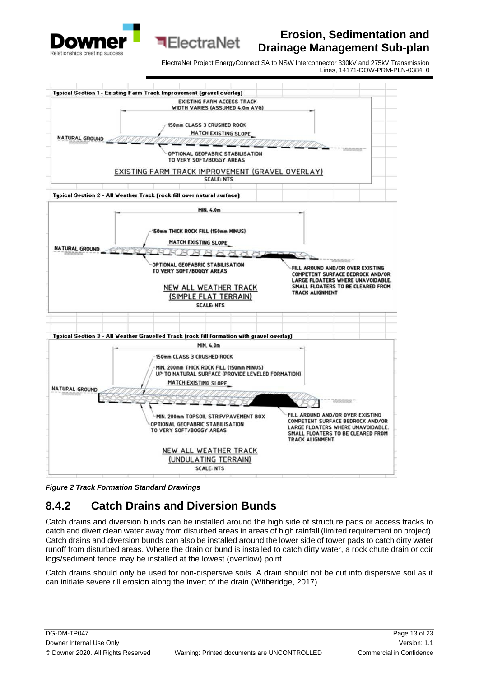

ElectraNet Project EnergyConnect SA to NSW Interconnector 330kV and 275kV Transmission Lines, 14171-DOW-PRM-PLN-0384, 0



**ElectraNet** 

*Figure 2 Track Formation Standard Drawings* 

### <span id="page-12-0"></span>**8.4.2 Catch Drains and Diversion Bunds**

Catch drains and diversion bunds can be installed around the high side of structure pads or access tracks to catch and divert clean water away from disturbed areas in areas of high rainfall (limited requirement on project). Catch drains and diversion bunds can also be installed around the lower side of tower pads to catch dirty water runoff from disturbed areas. Where the drain or bund is installed to catch dirty water, a rock chute drain or coir logs/sediment fence may be installed at the lowest (overflow) point.

Catch drains should only be used for non-dispersive soils. A drain should not be cut into dispersive soil as it can initiate severe rill erosion along the invert of the drain (Witheridge, 2017).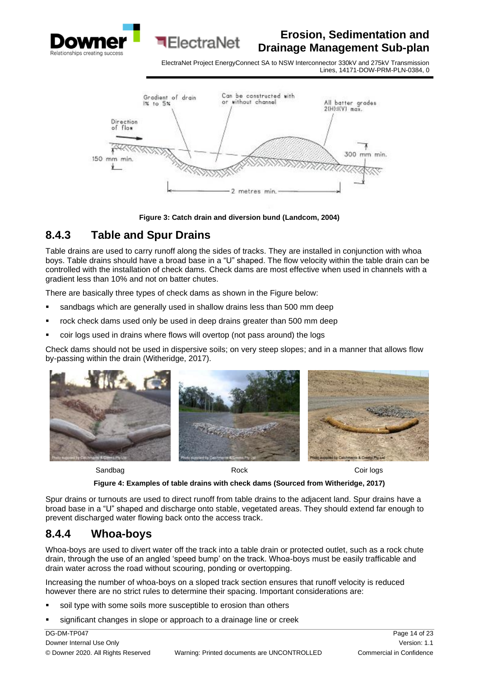

ElectraNet Project EnergyConnect SA to NSW Interconnector 330kV and 275kV Transmission Lines, 14171-DOW-PRM-PLN-0384, 0



**Figure 3: Catch drain and diversion bund (Landcom, 2004)**

#### <span id="page-13-0"></span>**8.4.3 Table and Spur Drains**

Table drains are used to carry runoff along the sides of tracks. They are installed in conjunction with whoa boys. Table drains should have a broad base in a "U" shaped. The flow velocity within the table drain can be controlled with the installation of check dams. Check dams are most effective when used in channels with a gradient less than 10% and not on batter chutes.

There are basically three types of check dams as shown in the Figure below:

sandbags which are generally used in shallow drains less than 500 mm deep

**बElectraNet** 

- rock check dams used only be used in deep drains greater than 500 mm deep
- coir logs used in drains where flows will overtop (not pass around) the logs

Check dams should not be used in dispersive soils; on very steep slopes; and in a manner that allows flow by-passing within the drain (Witheridge, 2017).



Sandbag **Rock** Rock Coir logs

**Figure 4: Examples of table drains with check dams (Sourced from Witheridge, 2017)**

Spur drains or turnouts are used to direct runoff from table drains to the adjacent land. Spur drains have a broad base in a "U" shaped and discharge onto stable, vegetated areas. They should extend far enough to prevent discharged water flowing back onto the access track.

#### <span id="page-13-1"></span>**8.4.4 Whoa-boys**

Whoa-boys are used to divert water off the track into a table drain or protected outlet, such as a rock chute drain, through the use of an angled 'speed bump' on the track. Whoa-boys must be easily trafficable and drain water across the road without scouring, ponding or overtopping.

Increasing the number of whoa-boys on a sloped track section ensures that runoff velocity is reduced however there are no strict rules to determine their spacing. Important considerations are:

- soil type with some soils more susceptible to erosion than others
- significant changes in slope or approach to a drainage line or creek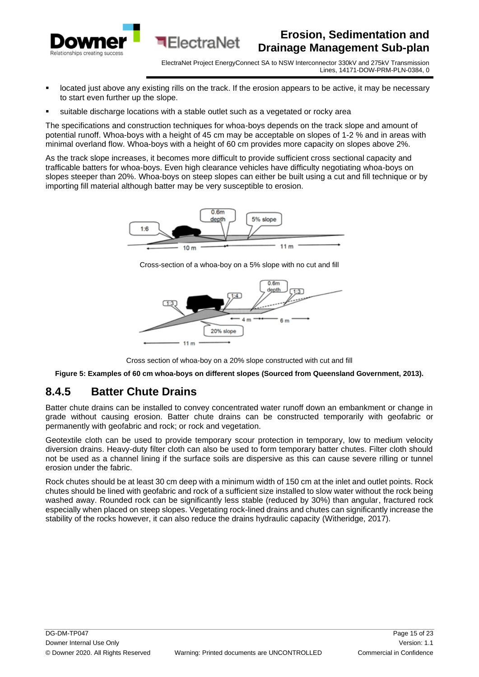

- located just above any existing rills on the track. If the erosion appears to be active, it may be necessary to start even further up the slope.
- suitable discharge locations with a stable outlet such as a vegetated or rocky area

**ElectraNet** 

The specifications and construction techniques for whoa-boys depends on the track slope and amount of potential runoff. Whoa-boys with a height of 45 cm may be acceptable on slopes of 1-2 % and in areas with minimal overland flow. Whoa-boys with a height of 60 cm provides more capacity on slopes above 2%.

As the track slope increases, it becomes more difficult to provide sufficient cross sectional capacity and trafficable batters for whoa-boys. Even high clearance vehicles have difficulty negotiating whoa-boys on slopes steeper than 20%. Whoa-boys on steep slopes can either be built using a cut and fill technique or by importing fill material although batter may be very susceptible to erosion.



Cross-section of a whoa-boy on a 5% slope with no cut and fill



Cross section of whoa-boy on a 20% slope constructed with cut and fill

**Figure 5: Examples of 60 cm whoa-boys on different slopes (Sourced from Queensland Government, 2013).**

#### <span id="page-14-0"></span>**8.4.5 Batter Chute Drains**

Batter chute drains can be installed to convey concentrated water runoff down an embankment or change in grade without causing erosion. Batter chute drains can be constructed temporarily with geofabric or permanently with geofabric and rock; or rock and vegetation.

Geotextile cloth can be used to provide temporary scour protection in temporary, low to medium velocity diversion drains. Heavy-duty filter cloth can also be used to form temporary batter chutes. Filter cloth should not be used as a channel lining if the surface soils are dispersive as this can cause severe rilling or tunnel erosion under the fabric.

Rock chutes should be at least 30 cm deep with a minimum width of 150 cm at the inlet and outlet points. Rock chutes should be lined with geofabric and rock of a sufficient size installed to slow water without the rock being washed away. Rounded rock can be significantly less stable (reduced by 30%) than angular, fractured rock especially when placed on steep slopes. Vegetating rock-lined drains and chutes can significantly increase the stability of the rocks however, it can also reduce the drains hydraulic capacity (Witheridge, 2017).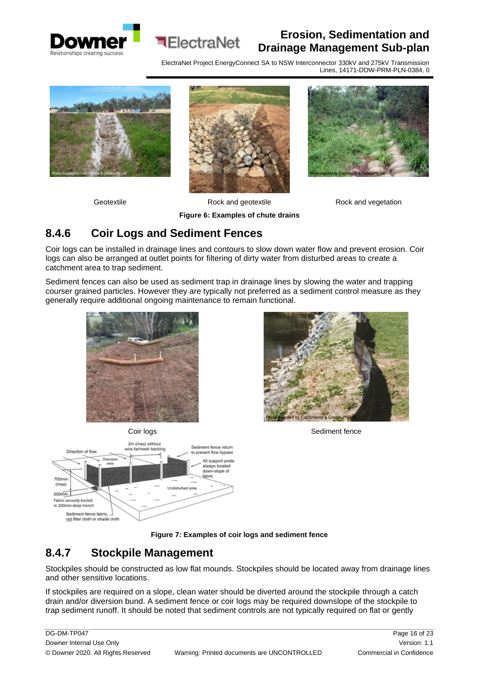



ElectraNet Project EnergyConnect SA to NSW Interconnector 330kV and 275kV Transmission Lines, 14171-DOW-PRM-PLN-0384, 0





Geotextile **Rock and geotextile** Rock and vegetation



#### **Figure 6: Examples of chute drains**

#### <span id="page-15-0"></span>**8.4.6 Coir Logs and Sediment Fences**

Coir logs can be installed in drainage lines and contours to slow down water flow and prevent erosion. Coir logs can also be arranged at outlet points for filtering of dirty water from disturbed areas to create a catchment area to trap sediment.

Sediment fences can also be used as sediment trap in drainage lines by slowing the water and trapping courser grained particles. However they are typically not preferred as a sediment control measure as they generally require additional ongoing maintenance to remain functional.









Coir logs Sediment fence

**Figure 7: Examples of coir logs and sediment fence**

#### <span id="page-15-1"></span>**8.4.7 Stockpile Management**

Stockpiles should be constructed as low flat mounds. Stockpiles should be located away from drainage lines and other sensitive locations.

If stockpiles are required on a slope, clean water should be diverted around the stockpile through a catch drain and/or diversion bund. A sediment fence or coir logs may be required downslope of the stockpile to trap sediment runoff. It should be noted that sediment controls are not typically required on flat or gently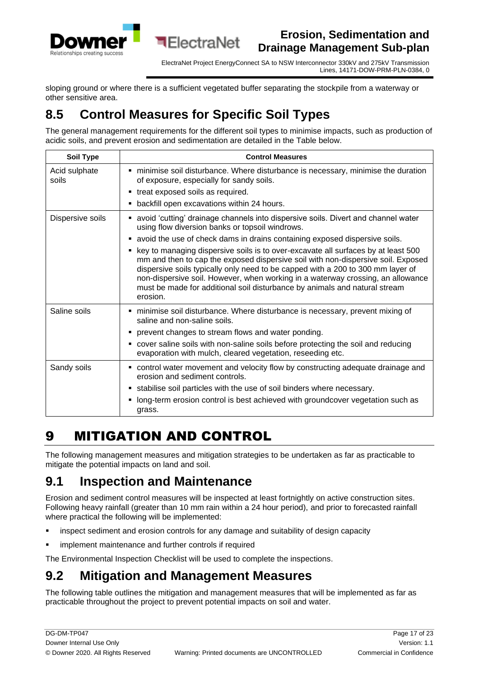

ElectraNet Project EnergyConnect SA to NSW Interconnector 330kV and 275kV Transmission Lines, 14171-DOW-PRM-PLN-0384, 0

sloping ground or where there is a sufficient vegetated buffer separating the stockpile from a waterway or other sensitive area.

# <span id="page-16-0"></span>**8.5 Control Measures for Specific Soil Types**

**ElectraNet** 

The general management requirements for the different soil types to minimise impacts, such as production of acidic soils, and prevent erosion and sedimentation are detailed in the Table below.

| <b>Soil Type</b>       | <b>Control Measures</b>                                                                                                                                                                                                                                                                                                                                                                                                               |
|------------------------|---------------------------------------------------------------------------------------------------------------------------------------------------------------------------------------------------------------------------------------------------------------------------------------------------------------------------------------------------------------------------------------------------------------------------------------|
| Acid sulphate<br>soils | ninimise soil disturbance. Where disturbance is necessary, minimise the duration<br>of exposure, especially for sandy soils.                                                                                                                                                                                                                                                                                                          |
|                        | • treat exposed soils as required.                                                                                                                                                                                                                                                                                                                                                                                                    |
|                        | backfill open excavations within 24 hours.<br>٠                                                                                                                                                                                                                                                                                                                                                                                       |
| Dispersive soils       | • avoid 'cutting' drainage channels into dispersive soils. Divert and channel water<br>using flow diversion banks or topsoil windrows.                                                                                                                                                                                                                                                                                                |
|                        | • avoid the use of check dams in drains containing exposed dispersive soils.                                                                                                                                                                                                                                                                                                                                                          |
|                        | key to managing dispersive soils is to over-excavate all surfaces by at least 500<br>mm and then to cap the exposed dispersive soil with non-dispersive soil. Exposed<br>dispersive soils typically only need to be capped with a 200 to 300 mm layer of<br>non-dispersive soil. However, when working in a waterway crossing, an allowance<br>must be made for additional soil disturbance by animals and natural stream<br>erosion. |
| Saline soils           | minimise soil disturbance. Where disturbance is necessary, prevent mixing of<br>saline and non-saline soils.                                                                                                                                                                                                                                                                                                                          |
|                        | • prevent changes to stream flows and water ponding.                                                                                                                                                                                                                                                                                                                                                                                  |
|                        | cover saline soils with non-saline soils before protecting the soil and reducing<br>٠<br>evaporation with mulch, cleared vegetation, reseeding etc.                                                                                                                                                                                                                                                                                   |
| Sandy soils            | • control water movement and velocity flow by constructing adequate drainage and<br>erosion and sediment controls.                                                                                                                                                                                                                                                                                                                    |
|                        | • stabilise soil particles with the use of soil binders where necessary.                                                                                                                                                                                                                                                                                                                                                              |
|                        | long-term erosion control is best achieved with groundcover vegetation such as<br>٠<br>grass.                                                                                                                                                                                                                                                                                                                                         |

# <span id="page-16-1"></span>9 MITIGATION AND CONTROL

The following management measures and mitigation strategies to be undertaken as far as practicable to mitigate the potential impacts on land and soil.

### <span id="page-16-2"></span>**9.1 Inspection and Maintenance**

Erosion and sediment control measures will be inspected at least fortnightly on active construction sites. Following heavy rainfall (greater than 10 mm rain within a 24 hour period), and prior to forecasted rainfall where practical the following will be implemented:

- inspect sediment and erosion controls for any damage and suitability of design capacity
- implement maintenance and further controls if required

The Environmental Inspection Checklist will be used to complete the inspections.

## <span id="page-16-3"></span>**9.2 Mitigation and Management Measures**

The following table outlines the mitigation and management measures that will be implemented as far as practicable throughout the project to prevent potential impacts on soil and water.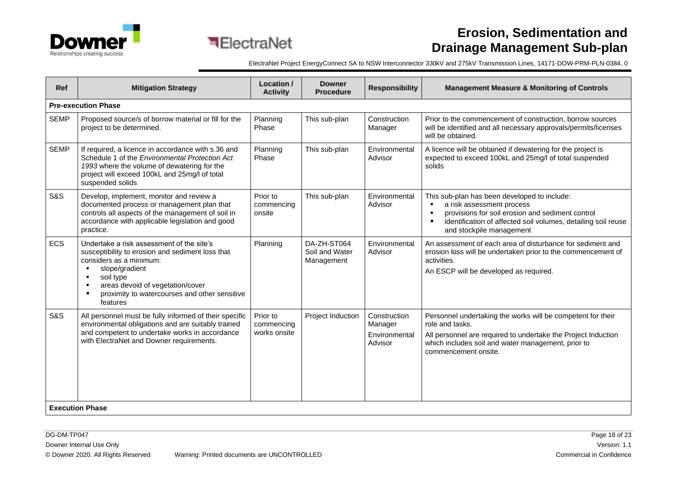



| Ref                    | <b>Mitigation Strategy</b>                                                                                                                                                                                                                                                                   | Location /<br><b>Activity</b>          | <b>Downer</b><br><b>Procedure</b>           | <b>Responsibility</b>                               | <b>Management Measure &amp; Monitoring of Controls</b>                                                                                                                                                                                                         |  |  |  |
|------------------------|----------------------------------------------------------------------------------------------------------------------------------------------------------------------------------------------------------------------------------------------------------------------------------------------|----------------------------------------|---------------------------------------------|-----------------------------------------------------|----------------------------------------------------------------------------------------------------------------------------------------------------------------------------------------------------------------------------------------------------------------|--|--|--|
|                        | <b>Pre-execution Phase</b>                                                                                                                                                                                                                                                                   |                                        |                                             |                                                     |                                                                                                                                                                                                                                                                |  |  |  |
| <b>SEMP</b>            | Proposed source/s of borrow material or fill for the<br>project to be determined.                                                                                                                                                                                                            | Planning<br>Phase                      | This sub-plan                               | Construction<br>Manager                             | Prior to the commencement of construction, borrow sources<br>will be identified and all necessary approvals/permits/licenses<br>will be obtained.                                                                                                              |  |  |  |
| <b>SEMP</b>            | If required, a licence in accordance with s.36 and<br>Schedule 1 of the Environmental Protection Act<br>1993 where the volume of dewatering for the<br>project will exceed 100kL and 25mg/l of total<br>suspended solids                                                                     | Planning<br>Phase                      | This sub-plan                               | Environmental<br>Advisor                            | A licence will be obtained if dewatering for the project is<br>expected to exceed 100kL and 25mg/l of total suspended<br>solids                                                                                                                                |  |  |  |
| <b>S&amp;S</b>         | Develop, implement, monitor and review a<br>documented process or management plan that<br>controls all aspects of the management of soil in<br>accordance with applicable legislation and good<br>practice.                                                                                  | Prior to<br>commencing<br>onsite       | This sub-plan                               | Environmental<br>Advisor                            | This sub-plan has been developed to include:<br>a risk assessment process<br>provisions for soil erosion and sediment control<br>$\blacksquare$<br>identification of affected soil volumes, detailing soil reuse<br>$\blacksquare$<br>and stockpile management |  |  |  |
| <b>ECS</b>             | Undertake a risk assessment of the site's<br>susceptibility to erosion and sediment loss that<br>considers as a minimum:<br>slope/gradient<br>soil type<br>$\blacksquare$<br>areas devoid of vegetation/cover<br>$\blacksquare$<br>proximity to watercourses and other sensitive<br>features | Planning                               | DA-ZH-ST064<br>Soil and Water<br>Management | Environmental<br>Advisor                            | An assessment of each area of disturbance for sediment and<br>erosion loss will be undertaken prior to the commencement of<br>activities.<br>An ESCP will be developed as required.                                                                            |  |  |  |
| S&S                    | All personnel must be fully informed of their specific<br>environmental obligations and are suitably trained<br>and competent to undertake works in accordance<br>with ElectraNet and Downer requirements.                                                                                   | Prior to<br>commencing<br>works onsite | Project Induction                           | Construction<br>Manager<br>Environmental<br>Advisor | Personnel undertaking the works will be competent for their<br>role and tasks.<br>All personnel are required to undertake the Project Induction<br>which includes soil and water management, prior to<br>commencement onsite.                                  |  |  |  |
| <b>Execution Phase</b> |                                                                                                                                                                                                                                                                                              |                                        |                                             |                                                     |                                                                                                                                                                                                                                                                |  |  |  |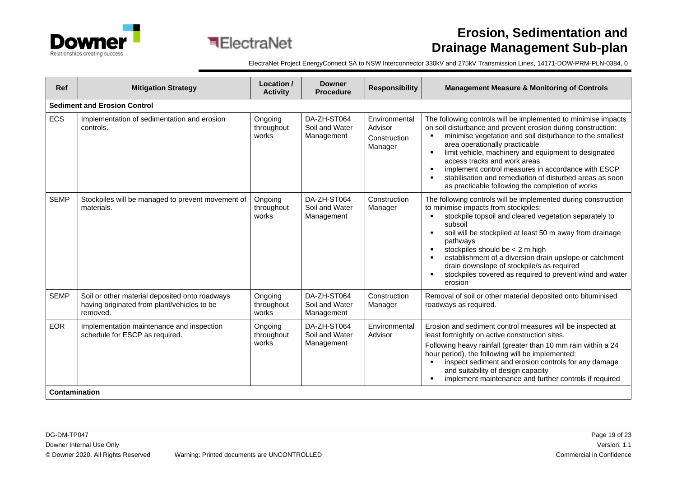



| Ref         | <b>Mitigation Strategy</b>                                                                                | Location /<br><b>Activity</b>  | <b>Downer</b><br><b>Procedure</b>           | <b>Responsibility</b>                               | <b>Management Measure &amp; Monitoring of Controls</b>                                                                                                                                                                                                                                                                                                                                                                                                                                                                         |  |  |  |  |
|-------------|-----------------------------------------------------------------------------------------------------------|--------------------------------|---------------------------------------------|-----------------------------------------------------|--------------------------------------------------------------------------------------------------------------------------------------------------------------------------------------------------------------------------------------------------------------------------------------------------------------------------------------------------------------------------------------------------------------------------------------------------------------------------------------------------------------------------------|--|--|--|--|
|             | <b>Sediment and Erosion Control</b>                                                                       |                                |                                             |                                                     |                                                                                                                                                                                                                                                                                                                                                                                                                                                                                                                                |  |  |  |  |
| <b>ECS</b>  | Implementation of sedimentation and erosion<br>controls.                                                  | Ongoing<br>throughout<br>works | DA-ZH-ST064<br>Soil and Water<br>Management | Environmental<br>Advisor<br>Construction<br>Manager | The following controls will be implemented to minimise impacts<br>on soil disturbance and prevent erosion during construction:<br>minimise vegetation and soil disturbance to the smallest<br>area operationally practicable<br>limit vehicle, machinery and equipment to designated<br>$\blacksquare$<br>access tracks and work areas<br>implement control measures in accordance with ESCP<br>$\blacksquare$<br>stabilisation and remediation of disturbed areas as soon<br>as practicable following the completion of works |  |  |  |  |
| <b>SEMP</b> | Stockpiles will be managed to prevent movement of<br>materials.                                           | Ongoing<br>throughout<br>works | DA-ZH-ST064<br>Soil and Water<br>Management | Construction<br>Manager                             | The following controls will be implemented during construction<br>to minimise impacts from stockpiles:<br>stockpile topsoil and cleared vegetation separately to<br>subsoil<br>soil will be stockpiled at least 50 m away from drainage<br>$\blacksquare$<br>pathways<br>stockpiles should be < 2 m high<br>$\blacksquare$<br>establishment of a diversion drain upslope or catchment<br>drain downslope of stockpile/s as required<br>stockpiles covered as required to prevent wind and water<br>erosion                     |  |  |  |  |
| <b>SEMP</b> | Soil or other material deposited onto roadways<br>having originated from plant/vehicles to be<br>removed. | Ongoing<br>throughout<br>works | DA-ZH-ST064<br>Soil and Water<br>Management | Construction<br>Manager                             | Removal of soil or other material deposited onto bituminised<br>roadways as required.                                                                                                                                                                                                                                                                                                                                                                                                                                          |  |  |  |  |
| <b>EOR</b>  | Implementation maintenance and inspection<br>schedule for ESCP as required.                               | Ongoing<br>throughout<br>works | DA-ZH-ST064<br>Soil and Water<br>Management | Environmental<br>Advisor                            | Erosion and sediment control measures will be inspected at<br>least fortnightly on active construction sites.<br>Following heavy rainfall (greater than 10 mm rain within a 24<br>hour period), the following will be implemented:<br>inspect sediment and erosion controls for any damage<br>and suitability of design capacity<br>implement maintenance and further controls if required<br>$\blacksquare$                                                                                                                   |  |  |  |  |
|             | Contamination                                                                                             |                                |                                             |                                                     |                                                                                                                                                                                                                                                                                                                                                                                                                                                                                                                                |  |  |  |  |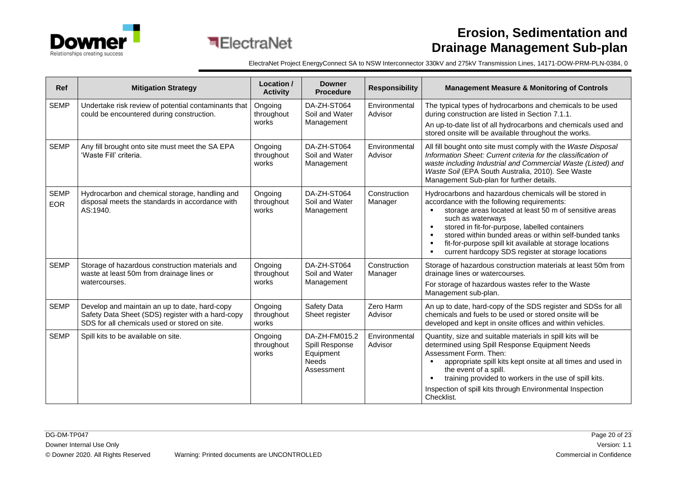

| Ref                       | <b>Mitigation Strategy</b>                                                                                                                          | Location /<br><b>Activity</b>  | <b>Downer</b><br><b>Procedure</b>                                          | <b>Responsibility</b>    | <b>Management Measure &amp; Monitoring of Controls</b>                                                                                                                                                                                                                                                                                                                                                                                                                   |  |
|---------------------------|-----------------------------------------------------------------------------------------------------------------------------------------------------|--------------------------------|----------------------------------------------------------------------------|--------------------------|--------------------------------------------------------------------------------------------------------------------------------------------------------------------------------------------------------------------------------------------------------------------------------------------------------------------------------------------------------------------------------------------------------------------------------------------------------------------------|--|
| <b>SEMP</b>               | Undertake risk review of potential contaminants that<br>could be encountered during construction.                                                   | Ongoing<br>throughout<br>works | DA-ZH-ST064<br>Soil and Water<br>Management                                | Environmental<br>Advisor | The typical types of hydrocarbons and chemicals to be used<br>during construction are listed in Section 7.1.1.<br>An up-to-date list of all hydrocarbons and chemicals used and<br>stored onsite will be available throughout the works.                                                                                                                                                                                                                                 |  |
| <b>SEMP</b>               | Any fill brought onto site must meet the SA EPA<br>'Waste Fill' criteria.                                                                           | Ongoing<br>throughout<br>works | DA-ZH-ST064<br>Soil and Water<br>Management                                | Environmental<br>Advisor | All fill bought onto site must comply with the Waste Disposal<br>Information Sheet: Current criteria for the classification of<br>waste including Industrial and Commercial Waste (Listed) and<br>Waste Soil (EPA South Australia, 2010). See Waste<br>Management Sub-plan for further details.                                                                                                                                                                          |  |
| <b>SEMP</b><br><b>EOR</b> | Hydrocarbon and chemical storage, handling and<br>disposal meets the standards in accordance with<br>AS:1940.                                       | Ongoing<br>throughout<br>works | DA-ZH-ST064<br>Soil and Water<br>Management                                | Construction<br>Manager  | Hydrocarbons and hazardous chemicals will be stored in<br>accordance with the following requirements:<br>storage areas located at least 50 m of sensitive areas<br>such as waterways<br>stored in fit-for-purpose, labelled containers<br>$\blacksquare$<br>stored within bunded areas or within self-bunded tanks<br>fit-for-purpose spill kit available at storage locations<br>$\blacksquare$<br>current hardcopy SDS register at storage locations<br>$\blacksquare$ |  |
| <b>SEMP</b>               | Storage of hazardous construction materials and<br>waste at least 50m from drainage lines or<br>watercourses.                                       | Ongoing<br>throughout<br>works | DA-ZH-ST064<br>Soil and Water<br>Management                                | Construction<br>Manager  | Storage of hazardous construction materials at least 50m from<br>drainage lines or watercourses.<br>For storage of hazardous wastes refer to the Waste<br>Management sub-plan.                                                                                                                                                                                                                                                                                           |  |
| <b>SEMP</b>               | Develop and maintain an up to date, hard-copy<br>Safety Data Sheet (SDS) register with a hard-copy<br>SDS for all chemicals used or stored on site. | Ongoing<br>throughout<br>works | Safety Data<br>Sheet register                                              | Zero Harm<br>Advisor     | An up to date, hard-copy of the SDS register and SDSs for all<br>chemicals and fuels to be used or stored onsite will be<br>developed and kept in onsite offices and within vehicles.                                                                                                                                                                                                                                                                                    |  |
| <b>SEMP</b>               | Spill kits to be available on site.                                                                                                                 | Ongoing<br>throughout<br>works | DA-ZH-FM015.2<br>Spill Response<br>Equipment<br><b>Needs</b><br>Assessment | Environmental<br>Advisor | Quantity, size and suitable materials in spill kits will be<br>determined using Spill Response Equipment Needs<br>Assessment Form, Then:<br>appropriate spill kits kept onsite at all times and used in<br>the event of a spill.<br>training provided to workers in the use of spill kits.<br>$\blacksquare$<br>Inspection of spill kits through Environmental Inspection<br>Checklist.                                                                                  |  |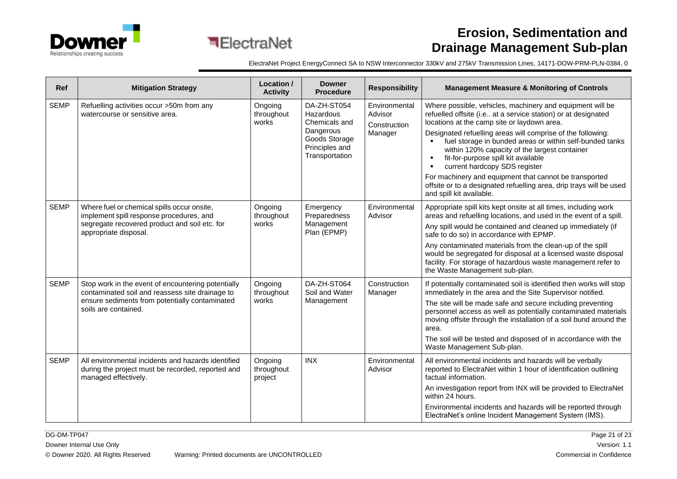

| Ref         | <b>Mitigation Strategy</b>                                                                                                                                                      | Location /<br><b>Activity</b>    | <b>Downer</b><br><b>Procedure</b>                                                                           | <b>Responsibility</b>                               | <b>Management Measure &amp; Monitoring of Controls</b>                                                                                                                                                                                                                                                                                                                                                                                                                                                                                                                                          |
|-------------|---------------------------------------------------------------------------------------------------------------------------------------------------------------------------------|----------------------------------|-------------------------------------------------------------------------------------------------------------|-----------------------------------------------------|-------------------------------------------------------------------------------------------------------------------------------------------------------------------------------------------------------------------------------------------------------------------------------------------------------------------------------------------------------------------------------------------------------------------------------------------------------------------------------------------------------------------------------------------------------------------------------------------------|
| <b>SEMP</b> | Refuelling activities occur >50m from any<br>watercourse or sensitive area.                                                                                                     | Ongoing<br>throughout<br>works   | DA-ZH-ST054<br>Hazardous<br>Chemicals and<br>Dangerous<br>Goods Storage<br>Principles and<br>Transportation | Environmental<br>Advisor<br>Construction<br>Manager | Where possible, vehicles, machinery and equipment will be<br>refuelled offsite (i.e at a service station) or at designated<br>locations at the camp site or laydown area.<br>Designated refuelling areas will comprise of the following:<br>fuel storage in bunded areas or within self-bunded tanks<br>within 120% capacity of the largest container<br>fit-for-purpose spill kit available<br>٠<br>current hardcopy SDS register<br>For machinery and equipment that cannot be transported<br>offsite or to a designated refuelling area, drip trays will be used<br>and spill kit available. |
| <b>SEMP</b> | Where fuel or chemical spills occur onsite,<br>implement spill response procedures, and<br>segregate recovered product and soil etc. for<br>appropriate disposal.               | Ongoing<br>throughout<br>works   | Emergency<br>Preparedness<br>Management<br>Plan (EPMP)                                                      | Environmental<br>Advisor                            | Appropriate spill kits kept onsite at all times, including work<br>areas and refuelling locations, and used in the event of a spill.<br>Any spill would be contained and cleaned up immediately (if<br>safe to do so) in accordance with EPMP.<br>Any contaminated materials from the clean-up of the spill<br>would be segregated for disposal at a licensed waste disposal<br>facility. For storage of hazardous waste management refer to<br>the Waste Management sub-plan.                                                                                                                  |
| <b>SEMP</b> | Stop work in the event of encountering potentially<br>contaminated soil and reassess site drainage to<br>ensure sediments from potentially contaminated<br>soils are contained. | Ongoing<br>throughout<br>works   | DA-ZH-ST064<br>Soil and Water<br>Management                                                                 | Construction<br>Manager                             | If potentially contaminated soil is identified then works will stop<br>immediately in the area and the Site Supervisor notified.<br>The site will be made safe and secure including preventing<br>personnel access as well as potentially contaminated materials<br>moving offsite through the installation of a soil bund around the<br>area.<br>The soil will be tested and disposed of in accordance with the<br>Waste Management Sub-plan.                                                                                                                                                  |
| <b>SEMP</b> | All environmental incidents and hazards identified<br>during the project must be recorded, reported and<br>managed effectively.                                                 | Ongoing<br>throughout<br>project | <b>INX</b>                                                                                                  | Environmental<br>Advisor                            | All environmental incidents and hazards will be verbally<br>reported to ElectraNet within 1 hour of identification outlining<br>factual information.<br>An investigation report from INX will be provided to ElectraNet<br>within 24 hours.<br>Environmental incidents and hazards will be reported through<br>ElectraNet's online Incident Management System (IMS).                                                                                                                                                                                                                            |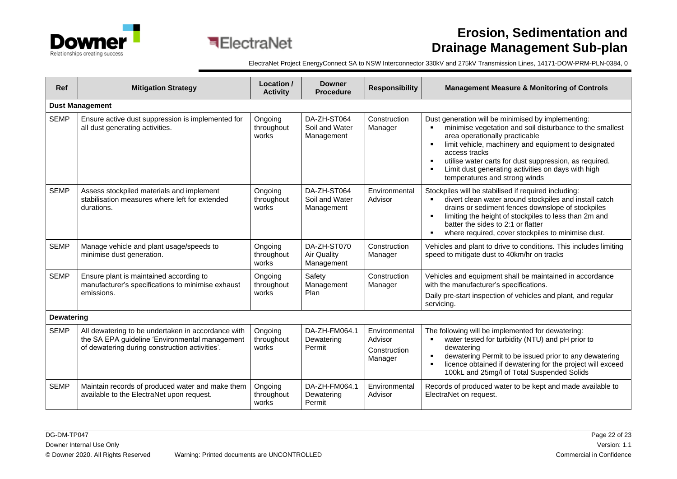



| <b>Ref</b>        | <b>Mitigation Strategy</b>                                                                                                                             | Location /<br><b>Activity</b>  | <b>Downer</b><br><b>Procedure</b>               | <b>Responsibility</b>                               | <b>Management Measure &amp; Monitoring of Controls</b>                                                                                                                                                                                                                                                                                                                                                              |  |  |  |  |
|-------------------|--------------------------------------------------------------------------------------------------------------------------------------------------------|--------------------------------|-------------------------------------------------|-----------------------------------------------------|---------------------------------------------------------------------------------------------------------------------------------------------------------------------------------------------------------------------------------------------------------------------------------------------------------------------------------------------------------------------------------------------------------------------|--|--|--|--|
|                   | <b>Dust Management</b>                                                                                                                                 |                                |                                                 |                                                     |                                                                                                                                                                                                                                                                                                                                                                                                                     |  |  |  |  |
| <b>SEMP</b>       | Ensure active dust suppression is implemented for<br>all dust generating activities.                                                                   | Ongoing<br>throughout<br>works | DA-ZH-ST064<br>Soil and Water<br>Management     | Construction<br>Manager                             | Dust generation will be minimised by implementing:<br>minimise vegetation and soil disturbance to the smallest<br>$\blacksquare$<br>area operationally practicable<br>limit vehicle, machinery and equipment to designated<br>$\blacksquare$<br>access tracks<br>utilise water carts for dust suppression, as required.<br>٠<br>Limit dust generating activities on days with high<br>temperatures and strong winds |  |  |  |  |
| <b>SEMP</b>       | Assess stockpiled materials and implement<br>stabilisation measures where left for extended<br>durations.                                              | Ongoing<br>throughout<br>works | DA-ZH-ST064<br>Soil and Water<br>Management     | Environmental<br>Advisor                            | Stockpiles will be stabilised if required including:<br>divert clean water around stockpiles and install catch<br>drains or sediment fences downslope of stockpiles<br>limiting the height of stockpiles to less than 2m and<br>$\blacksquare$<br>batter the sides to 2:1 or flatter<br>where required, cover stockpiles to minimise dust.<br>٠.                                                                    |  |  |  |  |
| <b>SEMP</b>       | Manage vehicle and plant usage/speeds to<br>minimise dust generation.                                                                                  | Ongoing<br>throughout<br>works | DA-ZH-ST070<br><b>Air Quality</b><br>Management | Construction<br>Manager                             | Vehicles and plant to drive to conditions. This includes limiting<br>speed to mitigate dust to 40km/hr on tracks                                                                                                                                                                                                                                                                                                    |  |  |  |  |
| <b>SEMP</b>       | Ensure plant is maintained according to<br>manufacturer's specifications to minimise exhaust<br>emissions.                                             | Ongoing<br>throughout<br>works | Safety<br>Management<br>Plan                    | Construction<br>Manager                             | Vehicles and equipment shall be maintained in accordance<br>with the manufacturer's specifications.<br>Daily pre-start inspection of vehicles and plant, and regular<br>servicing.                                                                                                                                                                                                                                  |  |  |  |  |
| <b>Dewatering</b> |                                                                                                                                                        |                                |                                                 |                                                     |                                                                                                                                                                                                                                                                                                                                                                                                                     |  |  |  |  |
| <b>SEMP</b>       | All dewatering to be undertaken in accordance with<br>the SA EPA guideline 'Environmental management<br>of dewatering during construction activities'. | Ongoing<br>throughout<br>works | DA-ZH-FM064.1<br>Dewatering<br>Permit           | Environmental<br>Advisor<br>Construction<br>Manager | The following will be implemented for dewatering:<br>water tested for turbidity (NTU) and pH prior to<br>٠<br>dewatering<br>dewatering Permit to be issued prior to any dewatering<br>٠<br>licence obtained if dewatering for the project will exceed<br>$\blacksquare$<br>100kL and 25mg/l of Total Suspended Solids                                                                                               |  |  |  |  |
| <b>SEMP</b>       | Maintain records of produced water and make them<br>available to the ElectraNet upon request.                                                          | Ongoing<br>throughout<br>works | DA-ZH-FM064.1<br>Dewatering<br>Permit           | Environmental<br>Advisor                            | Records of produced water to be kept and made available to<br>ElectraNet on request.                                                                                                                                                                                                                                                                                                                                |  |  |  |  |